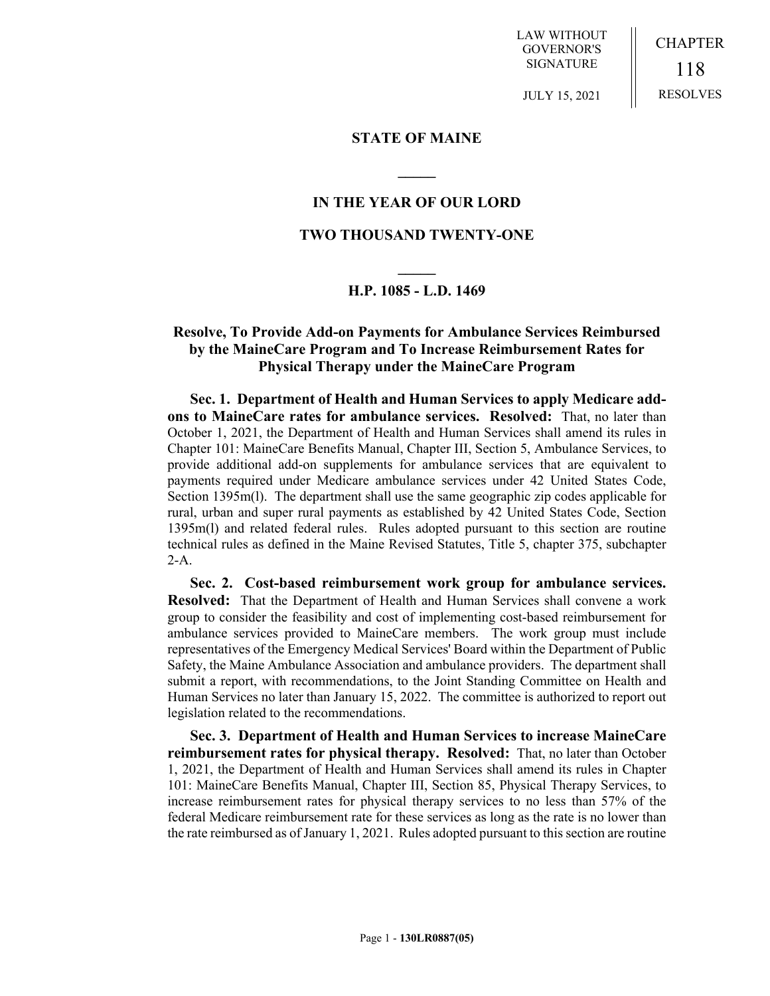LAW WITHOUT GOVERNOR'S SIGNATURE

CHAPTER 118 RESOLVES

JULY 15, 2021

### **STATE OF MAINE**

### **IN THE YEAR OF OUR LORD**

**\_\_\_\_\_**

## **TWO THOUSAND TWENTY-ONE**

# **\_\_\_\_\_ H.P. 1085 - L.D. 1469**

# **Resolve, To Provide Add-on Payments for Ambulance Services Reimbursed by the MaineCare Program and To Increase Reimbursement Rates for Physical Therapy under the MaineCare Program**

**Sec. 1. Department of Health and Human Services to apply Medicare addons to MaineCare rates for ambulance services. Resolved:** That, no later than October 1, 2021, the Department of Health and Human Services shall amend its rules in Chapter 101: MaineCare Benefits Manual, Chapter III, Section 5, Ambulance Services, to provide additional add-on supplements for ambulance services that are equivalent to payments required under Medicare ambulance services under 42 United States Code, Section 1395m(l). The department shall use the same geographic zip codes applicable for rural, urban and super rural payments as established by 42 United States Code, Section 1395m(l) and related federal rules. Rules adopted pursuant to this section are routine technical rules as defined in the Maine Revised Statutes, Title 5, chapter 375, subchapter 2-A.

**Sec. 2. Cost-based reimbursement work group for ambulance services. Resolved:** That the Department of Health and Human Services shall convene a work group to consider the feasibility and cost of implementing cost-based reimbursement for ambulance services provided to MaineCare members. The work group must include representatives of the Emergency Medical Services' Board within the Department of Public Safety, the Maine Ambulance Association and ambulance providers. The department shall submit a report, with recommendations, to the Joint Standing Committee on Health and Human Services no later than January 15, 2022. The committee is authorized to report out legislation related to the recommendations.

**Sec. 3. Department of Health and Human Services to increase MaineCare reimbursement rates for physical therapy. Resolved:** That, no later than October 1, 2021, the Department of Health and Human Services shall amend its rules in Chapter 101: MaineCare Benefits Manual, Chapter III, Section 85, Physical Therapy Services, to increase reimbursement rates for physical therapy services to no less than 57% of the federal Medicare reimbursement rate for these services as long as the rate is no lower than the rate reimbursed as of January 1, 2021. Rules adopted pursuant to this section are routine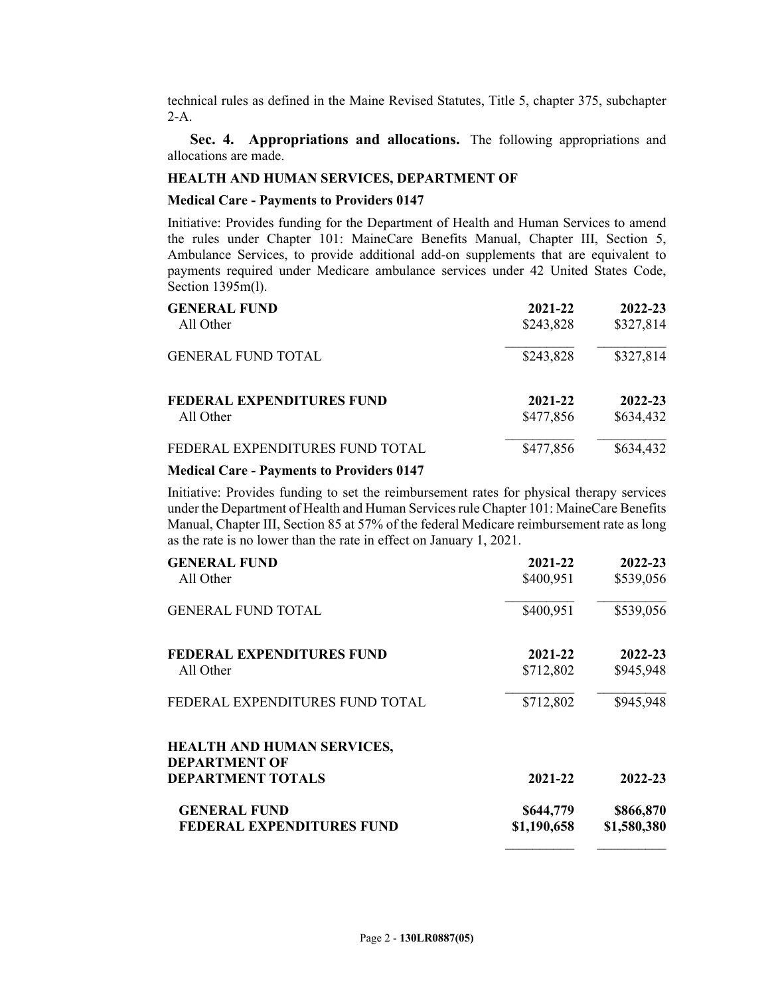technical rules as defined in the Maine Revised Statutes, Title 5, chapter 375, subchapter  $2-A$ .

**Sec. 4. Appropriations and allocations.** The following appropriations and allocations are made.

### **HEALTH AND HUMAN SERVICES, DEPARTMENT OF**

### **Medical Care - Payments to Providers 0147**

Initiative: Provides funding for the Department of Health and Human Services to amend the rules under Chapter 101: MaineCare Benefits Manual, Chapter III, Section 5, Ambulance Services, to provide additional add-on supplements that are equivalent to payments required under Medicare ambulance services under 42 United States Code, Section 1395m(l).

| <b>GENERAL FUND</b>              | 2021-22   | 2022-23   |
|----------------------------------|-----------|-----------|
| All Other                        | \$243,828 | \$327,814 |
| <b>GENERAL FUND TOTAL</b>        | \$243,828 | \$327,814 |
| <b>FEDERAL EXPENDITURES FUND</b> | 2021-22   | 2022-23   |
| All Other                        | \$477,856 | \$634,432 |
| FEDERAL EXPENDITURES FUND TOTAL  | \$477,856 | \$634,432 |

#### **Medical Care - Payments to Providers 0147**

Initiative: Provides funding to set the reimbursement rates for physical therapy services under the Department of Health and Human Services rule Chapter 101: MaineCare Benefits Manual, Chapter III, Section 85 at 57% of the federal Medicare reimbursement rate as long as the rate is no lower than the rate in effect on January 1, 2021.

| <b>GENERAL FUND</b><br>All Other              | 2021-22<br>\$400,951 | 2022-23<br>\$539,056 |
|-----------------------------------------------|----------------------|----------------------|
| <b>GENERAL FUND TOTAL</b>                     | \$400,951            | \$539,056            |
| <b>FEDERAL EXPENDITURES FUND</b><br>All Other | 2021-22<br>\$712,802 | 2022-23<br>\$945,948 |
| FEDERAL EXPENDITURES FUND TOTAL               | \$712,802            | \$945,948            |
| <b>HEALTH AND HUMAN SERVICES,</b>             |                      |                      |
| <b>DEPARTMENT OF</b>                          |                      |                      |
| <b>DEPARTMENT TOTALS</b>                      | 2021-22              | 2022-23              |
| <b>GENERAL FUND</b>                           | \$644,779            | \$866,870            |
| <b>FEDERAL EXPENDITURES FUND</b>              | \$1,190,658          | \$1,580,380          |

 $\mathcal{L}_\text{max}$